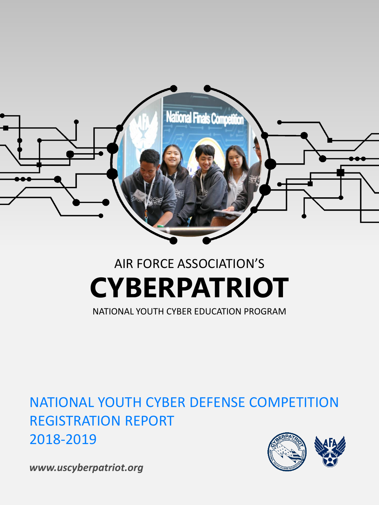

# AIR FORCE ASSOCIATION'S **CYBERPATRIOT**

NATIONAL YOUTH CYBER EDUCATION PROGRAM

NATIONAL YOUTH CYBER DEFENSE COMPETITION REGISTRATION REPORT 2018-2019



*www.uscyberpatriot.org*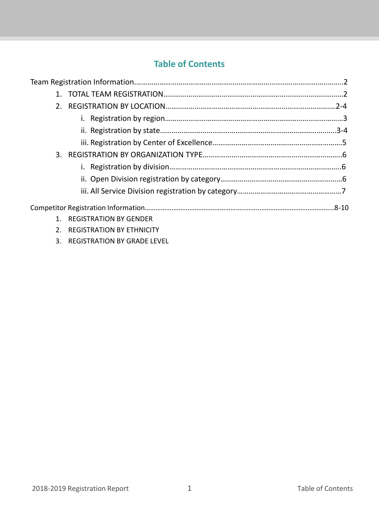# **Table of Contents**

| 2 <sub>1</sub> |                              |  |
|----------------|------------------------------|--|
|                |                              |  |
|                |                              |  |
|                |                              |  |
|                |                              |  |
|                |                              |  |
|                |                              |  |
|                |                              |  |
|                |                              |  |
|                | REGISTRATION BY GENDER       |  |
|                | 2. REGISTRATION BY ETHNICITY |  |

3. REGISTRATION BY GRADE LEVEL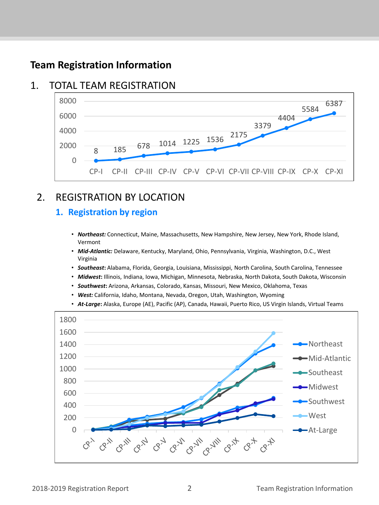# **Team Registration Information**

# 1. TOTAL TEAM REGISTRATION



# 2. REGISTRATION BY LOCATION

## **1. Registration by region**

- *Northeast:* Connecticut, Maine, Massachusetts, New Hampshire, New Jersey, New York, Rhode Island, Vermont
- *Mid-Atlantic:* Delaware, Kentucky, Maryland, Ohio, Pennsylvania, Virginia, Washington, D.C., West Virginia
- *Southeast***:** Alabama, Florida, Georgia, Louisiana, Mississippi, North Carolina, South Carolina, Tennessee
- *Midwest***:** Illinois, Indiana, Iowa, Michigan, Minnesota, Nebraska, North Dakota, South Dakota, Wisconsin
- *Southwest***:** Arizona, Arkansas, Colorado, Kansas, Missouri, New Mexico, Oklahoma, Texas
- *West:* California, Idaho, Montana, Nevada, Oregon, Utah, Washington, Wyoming
- *At-Large***:** Alaska, Europe (AE), Pacific (AP), Canada, Hawaii, Puerto Rico, US Virgin Islands, Virtual Teams

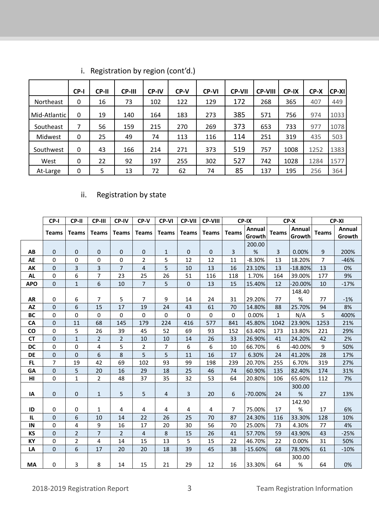|                  | CP-I | CP-II | <b>CP-III</b> | <b>CP-IV</b> | CP-V | <b>CP-VI</b> | <b>CP-VII</b> | <b>CP-VIII</b> | CP-IX | $CP-X$ | <b>CP-XI</b> |
|------------------|------|-------|---------------|--------------|------|--------------|---------------|----------------|-------|--------|--------------|
| <b>Northeast</b> | 0    | 16    | 73            | 102          | 122  | 129          | 172           | 268            | 365   | 407    | 449          |
| Mid-Atlantic     | 0    | 19    | 140           | 164          | 183  | 273          | 385           | 571            | 756   | 974    | 1033         |
| Southeast        | 7    | 56    | 159           | 215          | 270  | 269          | 373           | 653            | 733   | 977    | 1078         |
| Midwest          | 0    | 25    | 49            | 74           | 113  | 116          | 114           | 251            | 319   | 435    | 503          |
| Southwest        | 0    | 43    | 166           | 214          | 271  | 373          | 519           | 757            | 1008  | 1252   | 1383         |
| West             | 0    | 22    | 92            | 197          | 255  | 302          | 527           | 742            | 1028  | 1284   | 1577         |
| At-Large         | 0    | 5     | 13            | 72           | 62   | 74           | 85            | 137            | 195   | 256    | 364          |

i. Registration by region (cont'd.)

# ii. Registration by state

|            | CP-I           | CP-II          | CP-III         | <b>CP-IV</b>   | CP-V           | <b>CP-VI</b> | <b>CP-VII</b>  | <b>CP-VIII</b> |              | CP-IX            |              | CP-X             |                | CP-XI            |
|------------|----------------|----------------|----------------|----------------|----------------|--------------|----------------|----------------|--------------|------------------|--------------|------------------|----------------|------------------|
|            | <b>Teams</b>   | <b>Teams</b>   | <b>Teams</b>   | <b>Teams</b>   | <b>Teams</b>   | <b>Teams</b> | <b>Teams</b>   | <b>Teams</b>   | <b>Teams</b> | Annual<br>Growth | <b>Teams</b> | Annual<br>Growth | <b>Teams</b>   | Annual<br>Growth |
|            |                |                |                |                |                |              |                |                |              | 200.00           |              |                  |                |                  |
| AB         | $\mathbf 0$    | 0              | $\mathbf 0$    | 0              | $\mathbf 0$    | 1            | $\mathbf 0$    | 0              | 3            | %                | 3            | 0.00%            | 9              | 200%             |
| AE         | $\Omega$       | 0              | $\Omega$       | $\Omega$       | $\overline{2}$ | 5            | 12             | 12             | 11           | $-8.30%$         | 13           | 18.20%           | $\overline{7}$ | $-46%$           |
| AK         | $\Omega$       | 3              | 3              | $\overline{7}$ | $\overline{4}$ | 5            | 10             | 13             | 16           | 23.10%           | 13           | -18.80%          | 13             | 0%               |
| <b>AL</b>  | 0              | 6              | $\overline{7}$ | 23             | 25             | 26           | 51             | 116            | 118          | 1.70%            | 164          | 39.00%           | 177            | 9%               |
| <b>APO</b> | $\mathbf{0}$   | $\mathbf{1}$   | 6              | 10             | $\overline{7}$ | 5            | $\mathbf 0$    | 13             | 15           | 15.40%           | 12           | $-20.00%$        | 10             | $-17%$           |
|            |                |                |                |                |                |              |                |                |              |                  |              | 148.40           |                |                  |
| <b>AR</b>  | 0              | 6              | $\overline{7}$ | 5              | 7              | 9            | 14             | 24             | 31           | 29.20%           | 77           | %                | 77             | $-1%$            |
| <b>AZ</b>  | $\mathbf 0$    | 6              | 15             | 17             | 19             | 24           | 43             | 61             | 70           | 14.80%           | 88           | 25.70%           | 94             | 8%               |
| <b>BC</b>  | $\Omega$       | 0              | $\Omega$       | 0              | $\Omega$       | 0            | $\Omega$       | 0              | $\Omega$     | 0.00%            | $\mathbf{1}$ | N/A              | 5              | 400%             |
| CA         | $\overline{0}$ | 11             | 68             | 145            | 179            | 224          | 416            | 577            | 841          | 45.80%           | 1042         | 23.90%           | 1253           | 21%              |
| <b>CO</b>  | 0              | 5              | 26             | 39             | 45             | 52           | 69             | 93             | 152          | 63.40%           | 173          | 13.80%           | 221            | 29%              |
| <b>CT</b>  | $\Omega$       | $\mathbf{1}$   | $\overline{2}$ | $\overline{2}$ | 10             | 10           | 14             | 26             | 33           | 26.90%           | 41           | 24.20%           | 42             | 2%               |
| <b>DC</b>  | $\mathbf 0$    | 0              | $\overline{4}$ | 5              | $\overline{2}$ | 7            | 6              | 6              | 10           | 66.70%           | 6            | $-40.00%$        | 9              | 50%              |
| DE         | $\Omega$       | $\mathbf 0$    | 6              | 8              | 5              | 5            | 11             | 16             | 17           | 6.30%            | 24           | 41.20%           | 28             | 17%              |
| FL.        | $\overline{7}$ | 19             | 42             | 69             | 102            | 93           | 99             | 198            | 239          | 20.70%           | 255          | 6.70%            | 319            | 27%              |
| GA         | $\Omega$       | 5              | 20             | 16             | 29             | 18           | 25             | 46             | 74           | 60.90%           | 135          | 82.40%           | 174            | 31%              |
| HI         | $\mathbf 0$    | $\mathbf{1}$   | $\overline{2}$ | 48             | 37             | 35           | 32             | 53             | 64           | 20.80%           | 106          | 65.60%           | 112            | 7%               |
|            |                |                |                |                |                |              |                |                |              |                  |              | 300.00           |                |                  |
| IA         | $\mathbf 0$    | 0              | $\mathbf{1}$   | 5              | 5              | 4            | $\overline{3}$ | 20             | 6            | $-70.00%$        | 24           | %                | 27             | 13%              |
|            |                |                |                |                |                |              |                |                |              |                  |              | 142.90           |                |                  |
| ID         | 0              | 0              | 1              | 4              | 4              | 4            | 4              | 4              | 7            | 75.00%           | 17           | %                | 17             | 6%               |
| IL.        | $\Omega$       | 6              | 10             | 14             | 22             | 26           | 25             | 70             | 87           | 24.30%           | 116          | 33.30%           | 128            | 10%              |
| IN         | $\Omega$       | 4              | 9              | 16             | 17             | 20           | 30             | 56             | 70           | 25.00%           | 73           | 4.30%            | 77             | 4%               |
| KS         | $\mathbf 0$    | $\overline{2}$ | $\overline{7}$ | $\overline{2}$ | $\overline{4}$ | 8            | 15             | 26             | 41           | 57.70%           | 59           | 43.90%           | 43             | $-25%$           |
| <b>KY</b>  | 0              | 2              | 4              | 14             | 15             | 13           | 5              | 15             | 22           | 46.70%           | 22           | 0.00%            | 31             | 50%              |
| LA         | $\Omega$       | 6              | 17             | 20             | 20             | 18           | 39             | 45             | 38           | $-15.60%$        | 68           | 78.90%           | 61             | $-10%$           |
|            |                |                |                |                |                |              |                |                |              |                  |              | 300.00           |                |                  |
| МA         | 0              | 3              | 8              | 14             | 15             | 21           | 29             | 12             | 16           | 33.30%           | 64           | %                | 64             | 0%               |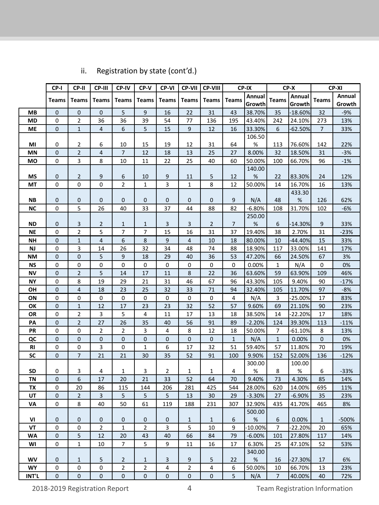|           | CP-I           | CP-II            | CP-III         | CP-IV          | CP-V           | CP-VI                   | CP-VII         | CP-VIII      |              | CP-IX       |                | $CP-X$    |                | CP-XI  |
|-----------|----------------|------------------|----------------|----------------|----------------|-------------------------|----------------|--------------|--------------|-------------|----------------|-----------|----------------|--------|
|           | <b>Teams</b>   | <b>Teams</b>     | Teams          | <b>Teams</b>   | <b>Teams</b>   |                         | <b>Teams</b>   | <b>Teams</b> | <b>Teams</b> | Annual      | <b>Teams</b>   | Annual    | <b>Teams</b>   | Annual |
|           |                |                  |                |                |                | <b>Teams</b>            |                |              |              | Growth      |                | Growth    |                | Growth |
| <b>MB</b> | 0              | $\pmb{0}$        | 0              | 5              | 9              | 16                      | 22             | 31           | 43           | 38.70%      | 35             | -18.60%   | 32             | $-9%$  |
| <b>MD</b> | 0              | $\overline{2}$   | 36             | 36             | 39             | 54                      | 77             | 136          | 195          | 43.40%      | 242            | 24.10%    | 273            | 13%    |
| ME        | 0              | $\mathbf{1}$     | 4              | 6              | 5              | 15                      | $\overline{9}$ | 12           | 16           | 33.30%      | 6              | $-62.50%$ | $\overline{7}$ | 33%    |
|           |                |                  |                |                |                |                         |                |              |              | 106.50      |                |           |                |        |
| MI        | 0              | 2                | 6              | 10             | 15             | 19                      | 12             | 31           | 64           | %           | 113            | 76.60%    | 142            | 22%    |
| <b>MN</b> | 0              | $\overline{2}$   | 4              | 7              | 12             | 18                      | 13             | 25           | 27           | 8.00%       | 32             | 18.50%    | 31             | $-3%$  |
| MO        | 0              | 3                | 8              | 10             | 11             | 22                      | 25             | 40           | 60           | 50.00%      | 100            | 66.70%    | 96             | $-1%$  |
|           |                |                  |                |                |                |                         |                |              |              | 140.00      |                |           |                |        |
| <b>MS</b> | 0              | $\overline{2}$   | 9              | 6              | 10             | 9                       | 11             | 5            | 12           | $\%$        | 22             | 83.30%    | 24             | 12%    |
| MT        | 0              | $\pmb{0}$        | 0              | 2              | $\mathbf{1}$   | $\overline{\mathbf{3}}$ | $\mathbf{1}$   | 8            | 12           | 50.00%      | 14             | 16.70%    | 16             | 13%    |
|           |                |                  |                |                |                |                         |                |              |              |             |                | 433.30    |                |        |
| NΒ        | 0              | $\mathbf 0$      | 0              | 0              | 0              | 0                       | 0              | 0            | 9            | N/A         | 48             | $\%$      | 126            | 62%    |
| <b>NC</b> | 0              | 5                | 26             | 40             | 33             | 37                      | 44             | 88           | 82           | $-6.80%$    | 108            | 31.70%    | 102            | $-6%$  |
|           |                |                  |                |                |                |                         |                |              |              | 250.00      |                |           |                |        |
| <b>ND</b> | 0              | 3                | 2              | 1              | $\mathbf{1}$   | 3                       | 3              | 2            | 7            | $\%$        | 6              | $-14.30%$ | 9              | 33%    |
| <b>NE</b> | 0              | 2                | 5              | 7              | 7              | 15                      | 16             | 31           | 37           | 19.40%      | 38             | 2.70%     | 31             | $-23%$ |
| NΗ        | 0              | $\mathbf{1}$     | 4              | 6              | 8              | 9                       | $\overline{4}$ | 10           | 18           | 80.00%      | 10             | $-44.40%$ | 15             | 33%    |
| NJ        | 0              | 3                | 14             | 26             | 32             | 34                      | 48             | 74           | 88           | 18.90%      | 117            | 33.00%    | 141            | 17%    |
| <b>NM</b> | 0              | $\pmb{0}$        | 5              | 9              | 18             | 29                      | 40             | 36           | 53           | 47.20%      | 66             | 24.50%    | 67             | 3%     |
| <b>NS</b> | 0              | 0                | 0              | $\pmb{0}$      | 0              | 0                       | $\mathsf 0$    | 0            | 0            | 0.00%       | $\mathbf 1$    | N/A       | 0              | 0%     |
| <b>NV</b> | 0              | $\mathbf 2$      | 5              | 14             | 17             | 11                      | 8              | 22           | 36           | 63.60%      | 59             | 63.90%    | 109            | 46%    |
| <b>NY</b> | 0              | 8                | 19             | 29             | 21             | 31                      | 46             | 67           | 96           | 43.30%      | 105            | 9.40%     | 90             | $-17%$ |
| OH        | 0              | $\overline{4}$   | 18             | 23             | 25             | 32                      | 33             | 71           | 94           | 32.40%      | 105            | 11.70%    | 97             | $-8%$  |
| ON        | 0              | $\pmb{0}$        | 0              | 0              | $\mathbf 0$    | 0                       | $\pmb{0}$      | 0            | 4            | N/A         | 3              | $-25.00%$ | 17             | 83%    |
| OK        | 0              | $\mathbf{1}$     | 12             | 17             | 23             | 23                      | 32             | 52           | 57           | 9.60%       | 69             | 21.10%    | 90             | 23%    |
| OR        | 0              | $\overline{2}$   | 3              | 5              | 4              | 11                      | 17             | 13           | 18           | 38.50%      | 14             | 22.20%    | 17             | 18%    |
| PA        | 0              | $\overline{2}$   | 27             | 26             | 35             | 40                      | 56             | 91           | 89           | $-2.20%$    | 124            | 39.30%    | 113            | $-11%$ |
| PR        | 0              | $\pmb{0}$        | $\overline{2}$ | $\overline{2}$ | 3              | 4                       | 8              | 12           | 18           | 50.00%      | 7              | $-61.10%$ | 8              | 13%    |
| QC        | 0              | $\pmb{0}$        | 0              | $\pmb{0}$      | 0              | 0                       | $\pmb{0}$      | 0            | $\mathbf{1}$ | N/A         | $\mathbf{1}$   | 0.00%     | 0              | 0%     |
| RI        | 0              | $\pmb{0}$        | 3              | 0              | $\mathbf{1}$   | 6                       | 17             | 32           | 51           | 59.40%      | 57             | 11.80%    | 70             | 19%    |
| SC        | 0              | $\overline{7}$   | 21             | 21             | $30\,$         | 35                      | 52             | 91           | 100          | 9.90%       | 152            | 52.00%    | 136            | $-12%$ |
|           |                |                  |                |                |                |                         |                |              |              | 300.00      |                | 100.00    |                |        |
| <b>SD</b> | 0              | 3                | 4              | 1              | 3              | $\overline{2}$          | $\mathbf{1}$   | 1            | 4            | $\%$        | 8              | $\%$      | 6              | $-33%$ |
| TN        | 0              | $\boldsymbol{6}$ | 17             | 20             | 21             | 33                      | 52             | 64           | 70           | 9.40%       | 73             | 4.30%     | 85             | 14%    |
| TX        | 0              | 20               | 86             | 115            | 144            | 206                     | 281            | 425          | 544          | 28.00%      | 620            | 14.00%    | 695            | 11%    |
| UT        | $\overline{0}$ | $\overline{2}$   | 3              | 5              | 5              | 5                       | 13             | 30           | 29           | $-3.30%$    | 27             | $-6.90%$  | 35             | 23%    |
| VA        | 0              | 8                | 40             | 50             | 61             | 119                     | 188            | 231          | 307          | 32.90%      | 435            | 41.70%    | 465            | 8%     |
| VI        | 0              | 0                | 0              | 0              | $\mathbf 0$    | 0                       | $\mathbf{1}$   | $\mathbf{1}$ | 6            | 500.00<br>% | 6              | 0.00%     | $\mathbf{1}$   | -500%  |
| VT        | 0              | $\pmb{0}$        | $\overline{2}$ | $\mathbf{1}$   | $\overline{2}$ | 3                       | 5              | 10           | 9            | $-10.00%$   | 7              | $-22.20%$ | 20             | 65%    |
| <b>WA</b> | 0              | 5                | 12             | 20             | 43             | 40                      | 66             | 84           | 79           | $-6.00\%$   | 101            | 27.80%    | 117            | 14%    |
| WI        | 0              | $\mathbf{1}$     | 10             | $\overline{7}$ | 5              | 9                       | 11             | 16           | 17           | 6.30%       | 25             | 47.10%    | 52             | 53%    |
|           |                |                  |                |                |                |                         |                |              |              | 340.00      |                |           |                |        |
| <b>WV</b> | 0              | 1                | 5              | 2              | 1              | 3                       | 9              | 5            | 22           | %           | 16             | $-27.30%$ | 17             | 6%     |
| <b>WY</b> | 0              | 0                | 0              | 2              | 2              | 4                       | $\overline{2}$ | 4            | 6            | 50.00%      | 10             | 66.70%    | 13             | 23%    |
| INT'L     | 0              | $\mathbf 0$      | $\mathbf 0$    | 0              | 0              | 0                       | $\mathbf 0$    | 0            | 5            | N/A         | $\overline{7}$ | 40.00%    | 40             | 72%    |

# ii. Registration by state (cont'd.)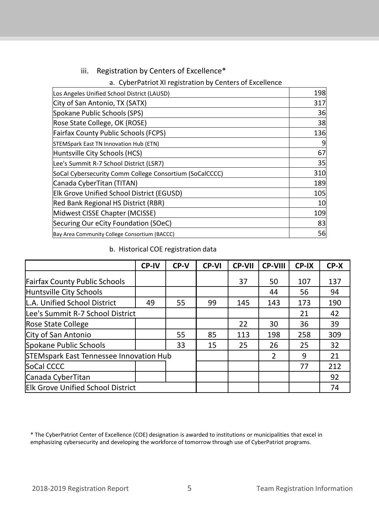#### iii. Registration by Centers of Excellence\*

#### a. CyberPatriot XI registration by Centers of Excellence

| Los Angeles Unified School District (LAUSD)             | 198             |
|---------------------------------------------------------|-----------------|
| City of San Antonio, TX (SATX)                          | 317             |
| Spokane Public Schools (SPS)                            | 36              |
| Rose State College, OK (ROSE)                           | 38              |
| <b>Fairfax County Public Schools (FCPS)</b>             | 136             |
| STEMSpark East TN Innovation Hub (ETN)                  | 9               |
| Huntsville City Schools (HCS)                           | 67              |
| Lee's Summit R-7 School District (LSR7)                 | 35              |
| SoCal Cybersecurity Comm College Consortium (SoCalCCCC) | 310             |
| Canada CyberTitan (TITAN)                               | 189             |
| <b>Elk Grove Unified School District (EGUSD)</b>        | 105             |
| Red Bank Regional HS District (RBR)                     | 10 <sup>1</sup> |
| Midwest CISSE Chapter (MCISSE)                          | 109             |
| Securing Our eCity Foundation (SOeC)                    | 83              |
| Bay Area Community College Consortium (BACCC)           | 56              |

#### b. Historical COE registration data

|                                          | <b>CP-IV</b> | CP-V | <b>CP-VI</b> | <b>CP-VII</b> | <b>CP-VIII</b> | CP-IX | CP-X |
|------------------------------------------|--------------|------|--------------|---------------|----------------|-------|------|
| <b>Fairfax County Public Schools</b>     |              |      |              | 37            | 50             | 107   | 137  |
| Huntsville City Schools                  |              |      |              |               | 44             | 56    | 94   |
| L.A. Unified School District             | 49           | 55   | 99           | 145           | 143            | 173   | 190  |
| Lee's Summit R-7 School District         |              |      |              |               |                | 21    | 42   |
| Rose State College                       |              |      |              | 22            | 30             | 36    | 39   |
| City of San Antonio                      |              | 55   | 85           | 113           | 198            | 258   | 309  |
| Spokane Public Schools                   |              | 33   | 15           | 25            | 26             | 25    | 32   |
| STEMspark East Tennessee Innovation Hub  |              |      |              |               | $\overline{2}$ | 9     | 21   |
| SoCal CCCC                               |              |      |              |               |                | 77    | 212  |
| Canada CyberTitan                        |              |      |              |               |                |       | 92   |
| <b>Elk Grove Unified School District</b> |              |      |              |               |                |       | 74   |

<sup>\*</sup> The CyberPatriot Center of Excellence (COE) designation is awarded to institutions or municipalities that excel in emphasizing cybersecurity and developing the workforce of tomorrow through use of CyberPatriot programs.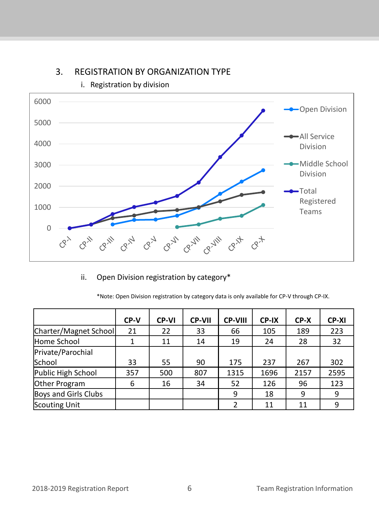

## 3. REGISTRATION BY ORGANIZATION TYPE

i. Registration by division

ii. Open Division registration by category\*

| *Note: Open Division registration by category data is only available for CP-V through CP-IX. |  |  |  |
|----------------------------------------------------------------------------------------------|--|--|--|

|                       | CP-V | <b>CP-VI</b> | <b>CP-VII</b> | <b>CP-VIII</b> | CP-IX | CP-X | <b>CP-XI</b> |
|-----------------------|------|--------------|---------------|----------------|-------|------|--------------|
| Charter/Magnet School | 21   | 22           | 33            | 66             | 105   | 189  | 223          |
| Home School           |      | 11           | 14            | 19             | 24    | 28   | 32           |
| Private/Parochial     |      |              |               |                |       |      |              |
| School                | 33   | 55           | 90            | 175            | 237   | 267  | 302          |
| Public High School    | 357  | 500          | 807           | 1315           | 1696  | 2157 | 2595         |
| Other Program         | 6    | 16           | 34            | 52             | 126   | 96   | 123          |
| Boys and Girls Clubs  |      |              |               | 9              | 18    | 9    | 9            |
| Scouting Unit         |      |              |               |                | 11    | 11   | 9            |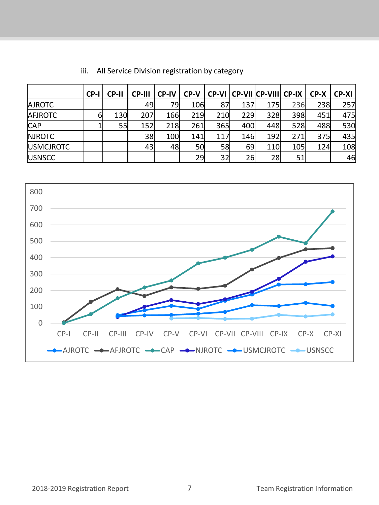|                   | CP-I | <b>CP-II</b> | <b>CP-III</b> | <b>CP-IV</b> | CP-V |     |     | CP-VI CP-VII CP-VIII CP-IX |      | $CP-X$ | CP-XI |
|-------------------|------|--------------|---------------|--------------|------|-----|-----|----------------------------|------|--------|-------|
| <b>AJROTC</b>     |      |              | 49            | 79l          | 106  | 87  | 137 | <b>175</b>                 | 236  | 238    | 257   |
| <b>AFJROTC</b>    | 61   | 130          | 207           | 166          | 219  | 210 | 229 | 328                        | 398  | 451    | 475   |
| <b>CAP</b>        |      | 55           | 152           | 218          | 261  | 365 | 400 | 448                        | 528  | 488    | 530   |
| <b>NJROTC</b>     |      |              | 38            | 100          | 141  | 117 | 146 | 192                        | 271  | 375    | 435   |
| <b>IUSMCJROTC</b> |      |              | 43            | 48           | 50   | 58  | 69  | 110                        | 105l | 124    | 108   |
| <b>USNSCC</b>     |      |              |               |              | 29   | 32  | 26  | 28                         | 51   |        | 46    |

## iii. All Service Division registration by category

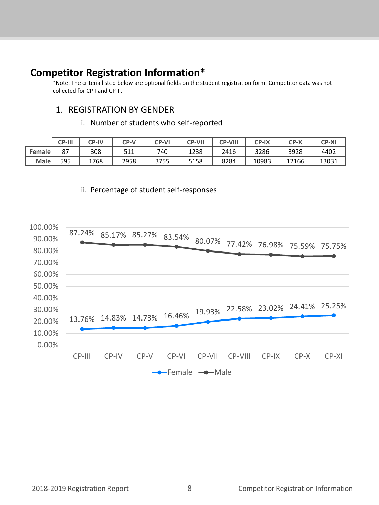# **Competitor Registration Information\***

\*Note: The criteria listed below are optional fields on the student registration form. Competitor data was not collected for CP-I and CP-II.

#### 1. REGISTRATION BY GENDER

i. Number of students who self-reported

|               | <b>CP-III</b> | <b>CP-IV</b> | CP-V | <b>CP-VI</b> | <b>CP-VII</b> | <b>CP-VIII</b> | <b>CP-IX</b> | CP-X  | <b>CP-XI</b> |
|---------------|---------------|--------------|------|--------------|---------------|----------------|--------------|-------|--------------|
| <b>Female</b> | ດ¬<br>ر ہ     | 308          | 511  | 740          | 1238          | 2416           | 3286         | 3928  | 4402         |
| Malel         | 595           | 1768         | 2958 | 3755         | 5158          | 8284           | 10983        | 12166 | 13031        |

#### ii. Percentage of student self-responses

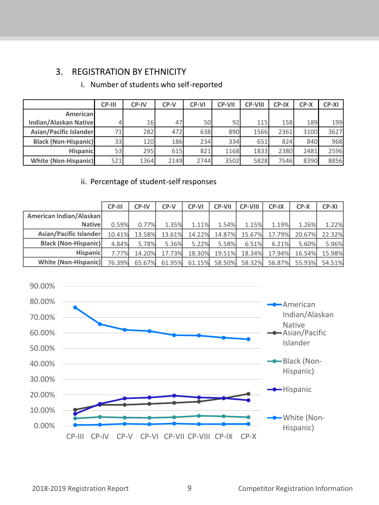# 3. REGISTRATION BY ETHNICITY

|                              | CP-III          | <b>CP-IV</b> | CP-V | <b>CP-VI</b> | <b>CP-VII</b>   | <b>CP-VIII</b> | CP-IX | $CP-X$ | <b>CP-XI</b> |
|------------------------------|-----------------|--------------|------|--------------|-----------------|----------------|-------|--------|--------------|
| Americanl                    |                 |              |      |              |                 |                |       |        |              |
| <b>Indian/Alaskan Native</b> |                 | 16           | 47   | <b>50</b>    | 92 <sub>l</sub> | <b>115</b>     | 158   | 189    | 199          |
| Asian/Pacific Islander       | 71              | 282          | 472  | 638          | 890             | 1566           | 2361  | 3100   | 3627         |
| <b>Black (Non-Hispanic)</b>  | 33              | 120          | 186  | 234          | 334             | 651            | 824   | 840    | 968          |
| <b>Hispanicl</b>             | 53 <sub>l</sub> | 295          | 615  | 821          | 1168            | 1833           | 2380  | 2481   | 2596         |
| White (Non-Hispanic)         | 521             | 1364         | 2149 | 2744         | 3502            | 5828           | 7546  | 8390   | 8856         |

## i. Number of students who self-reported

#### ii. Percentage of student-self responses

|                             | CP-III | CP-IV  | CP-V   | <b>CP-VI</b> | <b>CP-VII</b> | <b>CP-VIII</b> | CP-IX  | $CP-X$ | <b>CP-XI</b> |
|-----------------------------|--------|--------|--------|--------------|---------------|----------------|--------|--------|--------------|
| American Indian/Alaskan     |        |        |        |              |               |                |        |        |              |
| <b>Nativel</b>              | 0.59%  | 0.77%  | 1.35%  | 1.11%        | 1.54%         | 1.15%          | 1.19%  | 1.26%  | 1.22%        |
| Asian/Pacific Islander      | 10.41% | 13.58% | 13.61% | 14.22%       | 14.87%        | 15.67%         | 17.79% | 20.67% | 22.32%       |
| <b>Black (Non-Hispanic)</b> | 4.84%  | 5.78%  | 5.36%  | 5.22%        | 5.58%         | 6.51%          | 6.21%  | 5.60%  | 5.96%        |
| <b>Hispanicl</b>            | 7.77%  | 14.20% | 17.73% | 18.30%       | 19.51%        | 18.34%         | 17.94% | 16.54% | 15.98%       |
| White (Non-Hispanic)        | 76.39% | 65.67% | 61.95% | 61.15%       | 58.50%        | 58.32%         | 56.87% | 55.93% | 54.51%       |